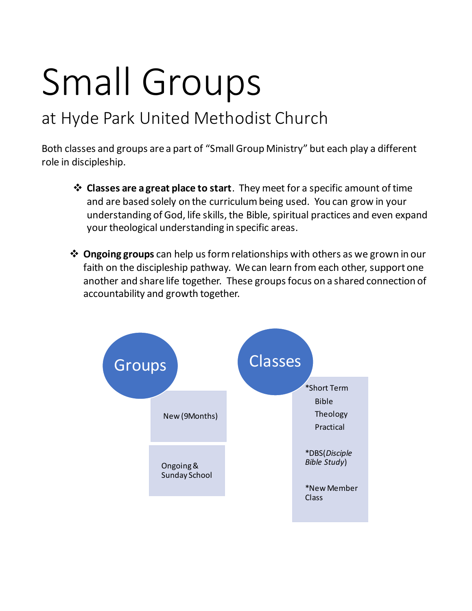# Small Groups

# at Hyde Park United Methodist Church

Both classes and groups are a part of "Small Group Ministry" but each play a different role in discipleship.

- **Classes are a great place to start**. They meet for a specific amount of time and are based solely on the curriculum being used. You can grow in your understanding of God, life skills, the Bible, spiritual practices and even expand your theological understanding in specific areas.
- **Ongoing groups** can help us form relationships with others as we grown in our faith on the discipleship pathway. We can learn from each other, support one another and share life together. These groups focus on a shared connection of accountability and growth together.